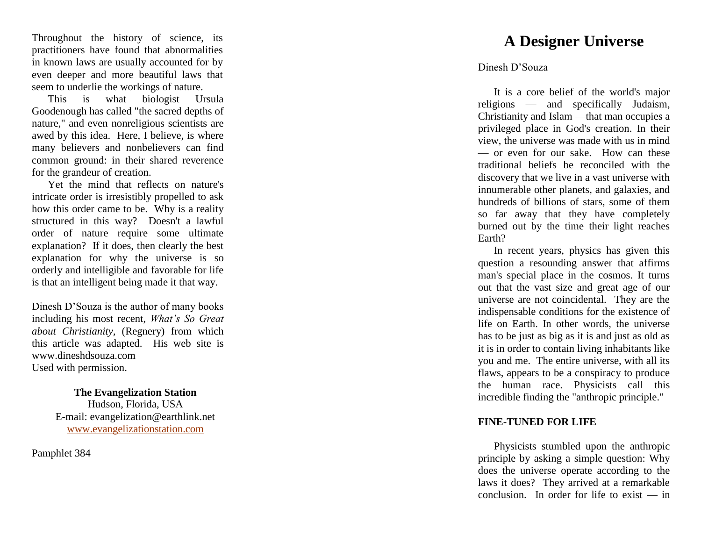Throughout the history of science, its practitioners have found that abnormalities in known laws are usually accounted for by even deeper and more beautiful laws that seem to underlie the workings of nature.

This is what biologist Ursula Goodenough has called "the sacred depths of nature," and even nonreligious scientists are awed by this idea. Here, I believe, is where many believers and nonbelievers can find common ground: in their shared reverence for the grandeur of creation.

Yet the mind that reflects on nature's intricate order is irresistibly propelled to ask how this order came to be. Why is a reality structured in this way? Doesn't a lawful order of nature require some ultimate explanation? If it does, then clearly the best explanation for why the universe is so orderly and intelligible and favorable for life is that an intelligent being made it that way.

Dinesh D'Souza is the author of many books including his most recent, *What's So Great about Chris tianity,* (Regnery) from which this article was adapted. His web site is www.dineshdsouza.com Used with permission.

## **The Evangelization Station**

Hudson, Florida, USA E -mail: evangelization@earthlink.net [www.evangelizationstation.com](http://www.pjpiisoe.org/)

Pamphlet 384

# **A Designer Universe**

### Dinesh D'Souza

It is a core belief of the world's major religions — and specifically Judaism, Christianity and Islam —that man occupies a privileged place in God's creation. In their view, the universe was made with us in min d — or even for our sake. How can these traditional beliefs be reconciled with the discovery that we live in a vast universe with innumerable other planets, and galaxies, and hundreds of billions of stars, some of them so far away that they have completely burned out by the time their light reaches Earth?

In recent years, physics has given this question a resounding answer that affirms man's special place in the cosmos. It turns out that the vast size and great age of our universe are not coincidental. They are the indispensable conditions for the existence of life on Earth. In other words, the universe has to be just as big as it is and just as old as it is in order to contain living inhabitants like you and me. The entire universe, with all its flaws, appears to be a conspiracy to produce the human race. Physicists call this incredible finding the "anthropic principle."

#### **FINE -TUNED FOR LIFE**

Physicists stumbled upon the anthropic principle by asking a simple question: Why does the universe operate according to the laws it does? They arrived at a remarkable conclusion. In order for life to exist — in